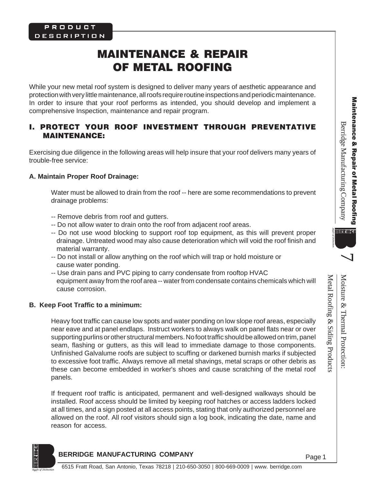# MAINTENANCE & REPAIR OF METAL ROOFING

While your new metal roof system is designed to deliver many years of aesthetic appearance and protection with very little maintenance, all roofs require routine inspections and periodic maintenance. In order to insure that your roof performs as intended, you should develop and implement a comprehensive Inspection, maintenance and repair program.

## I. PROTECT YOUR ROOF INVESTMENT THROUGH PREVENTATIVE MAINTENANCE:

Exercising due diligence in the following areas will help insure that your roof delivers many years of trouble-free service:

## **A. Maintain Proper Roof Drainage:**

Water must be allowed to drain from the roof -- here are some recommendations to prevent drainage problems:

- -- Remove debris from roof and gutters.
- -- Do not allow water to drain onto the roof from adjacent roof areas.
- -- Do not use wood blocking to support roof top equipment, as this will prevent proper drainage. Untreated wood may also cause deterioration which will void the roof finish and material warranty.
- -- Do not install or allow anything on the roof which will trap or hold moisture or cause water ponding.
- -- Use drain pans and PVC piping to carry condensate from rooftop HVAC equipment away from the roof area -- water from condensate contains chemicals which will cause corrosion.

# **B. Keep Foot Traffic to a minimum:**

Heavy foot traffic can cause low spots and water ponding on low slope roof areas, especially near eave and at panel endlaps. Instruct workers to always walk on panel flats near or over supporting purlins or other structural members. No foot traffic should be allowed on trim, panel seam, flashing or gutters, as this will lead to immediate damage to those components. Unfinished Galvalume roofs are subject to scuffing or darkened burnish marks if subjected to excessive foot traffic. Always remove all metal shavings, metal scraps or other debris as these can become embedded in worker's shoes and cause scratching of the metal roof panels.

If frequent roof traffic is anticipated, permanent and well-designed walkways should be installed. Roof access should be limited by keeping roof hatches or access ladders locked at all times, and a sign posted at all access points, stating that only authorized personnel are allowed on the roof. All roof visitors should sign a log book, indicating the date, name and reason for access.

# **BERRIDGE MANUFACTURING COMPANY**



Metal Roofing & Siding Products

Metal Roofing & Siding Products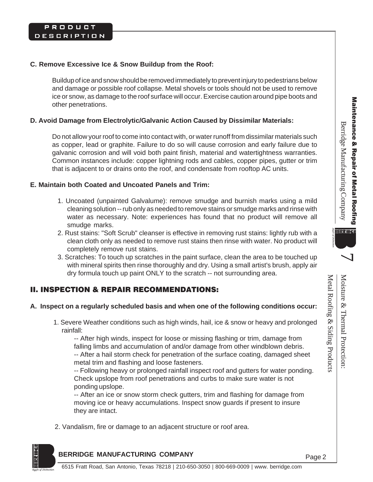۱ ـ

Metal Roofing & Siding Products

Metal Roofing & Siding Products

Moisture & Thermal Protection:

Moisture & Thermal Protection

#### **C. Remove Excessive Ice & Snow Buildup from the Roof:**

Buildup of ice and snow should be removed immediately to prevent injury to pedestrians below and damage or possible roof collapse. Metal shovels or tools should not be used to remove ice or snow, as damage to the roof surface will occur. Exercise caution around pipe boots and other penetrations.

#### **D. Avoid Damage from Electrolytic/Galvanic Action Caused by Dissimilar Materials:**

Do not allow your roof to come into contact with, or water runoff from dissimilar materials such as copper, lead or graphite. Failure to do so will cause corrosion and early failure due to galvanic corrosion and will void both paint finish, material and watertightness warranties. Common instances include: copper lightning rods and cables, copper pipes, gutter or trim that is adjacent to or drains onto the roof, and condensate from rooftop AC units.

#### **E. Maintain both Coated and Uncoated Panels and Trim:**

- 1. Uncoated (unpainted Galvalume): remove smudge and burnish marks using a mild cleaning solution -- rub only as needed to remove stains or smudge marks and rinse with water as necessary. Note: experiences has found that no product will remove all smudge marks.
- 2. Rust stains: "Soft Scrub" cleanser is effective in removing rust stains: lightly rub with a clean cloth only as needed to remove rust stains then rinse with water. No product will completely remove rust stains.
- 3. Scratches: To touch up scratches in the paint surface, clean the area to be touched up with mineral spirits then rinse thoroughly and dry. Using a small artist's brush, apply air dry formula touch up paint ONLY to the scratch -- not surrounding area.

## II. INSPECTION & REPAIR RECOMMENDATIONS:

#### **A. Inspect on a regularly scheduled basis and when one of the following conditions occur:**

1. Severe Weather conditions such as high winds, hail, ice & snow or heavy and prolonged rainfall:

-- After high winds, inspect for loose or missing flashing or trim, damage from falling limbs and accumulation of and/or damage from other windblown debris. -- After a hail storm check for penetration of the surface coating, damaged sheet metal trim and flashing and loose fasteners.

-- Following heavy or prolonged rainfall inspect roof and gutters for water ponding. Check upslope from roof penetrations and curbs to make sure water is not ponding upslope.

-- After an ice or snow storm check gutters, trim and flashing for damage from moving ice or heavy accumulations. Inspect snow guards if present to insure they are intact.

2. Vandalism, fire or damage to an adjacent structure or roof area.

#### **BERRIDGE MANUFACTURING COMPANY**

Page 2